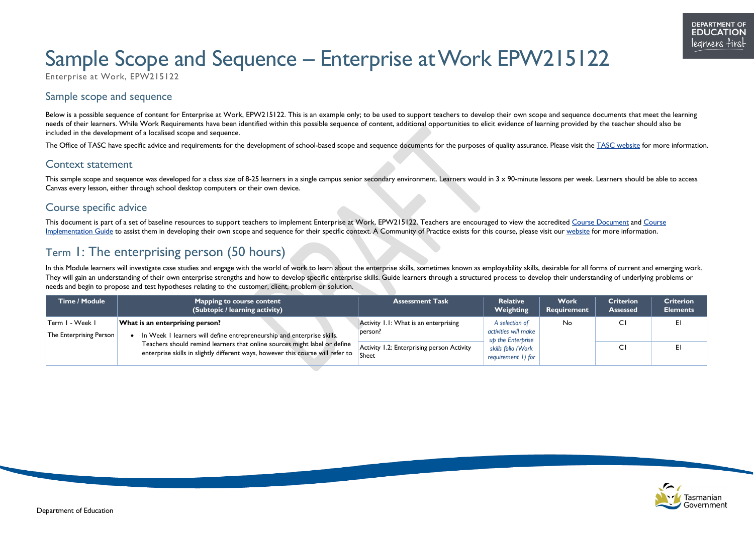



# Sample Scope and Sequence – Enterprise at Work EPW215122

Enterprise at Work, EPW215122

### Sample scope and sequence

Below is a possible sequence of content for Enterprise at Work, EPW215122. This is an example only; to be used to support teachers to develop their own scope and sequence documents that meet the learning needs of their learners. While Work Requirements have been identified within this possible sequence of content, additional opportunities to elicit evidence of learning provided by the teacher should also be included in the development of a localised scope and sequence.

This sample scope and sequence was developed for a class size of 8-25 learners in a single campus senior secondary environment. Learners would in 3 x 90-minute lessons per week. Learners should be able to access Canvas every lesson, either through school desktop computers or their own device.

The Office of TASC have specific advice and requirements for the development of school-based scope and sequence documents for the purposes of quality assurance. Please visit the [TASC website](http://www.tasc.tas.gov.au/) for more information.

#### Context statement

#### Course specific advice

This document is part of a set of baseline resources to support teachers to implement Enterprise at Work, EPW215122. Teachers are encouraged to view the accredited [Course Document](https://www.tasc.tas.gov.au/students/courses/mixed-field/epw215122/) and Course [Implementation Guide](https://documentcentre.education.tas.gov.au/_layouts/15/DocIdRedir.aspx?ID=TASED-1409172972-1882) to assist them in developing their own scope and sequence for their specific context. A Community of Practice exists for this course, please visit our [website](https://11and12.education.tas.gov.au/communities-of-practice/) for more information.

### Term 1: The enterprising person (50 hours)

In this Module learners will investigate case studies and engage with the world of work to learn about the enterprise skills, sometimes known as employability skills, desirable for all forms of current and emerging work. They will gain an understanding of their own enterprise strengths and how to develop specific enterprise skills. Guide learners through a structured process to develop their understanding of underlying problems or needs and begin to propose and test hypotheses relating to the customer, client, problem or solution.

| Time / Module                              | <b>Mapping to course content</b><br>(Subtopic / learning activity)                                                                                           | <b>Assessment Task</b>                              | <b>Relative</b><br>Weighting                                | <b>Work</b><br>Requirement | <b>Criterion</b><br><b>Assessed</b> | <b>Criterion</b><br><b>Elements</b> |
|--------------------------------------------|--------------------------------------------------------------------------------------------------------------------------------------------------------------|-----------------------------------------------------|-------------------------------------------------------------|----------------------------|-------------------------------------|-------------------------------------|
| Term I - Week I<br>The Enterprising Person | What is an enterprising person?<br>In Week I learners will define entrepreneurship and enterprise skills.                                                    | Activity 1.1: What is an enterprising<br>person?    | A selection of<br>activities will make<br>up the Enterprise | No                         |                                     | EI                                  |
|                                            | Teachers should remind learners that online sources might label or define<br>enterprise skills in slightly different ways, however this course will refer to | Activity 1.2: Enterprising person Activity<br>Sheet | skills folio (Work<br>requirement 1) for                    |                            |                                     | EI                                  |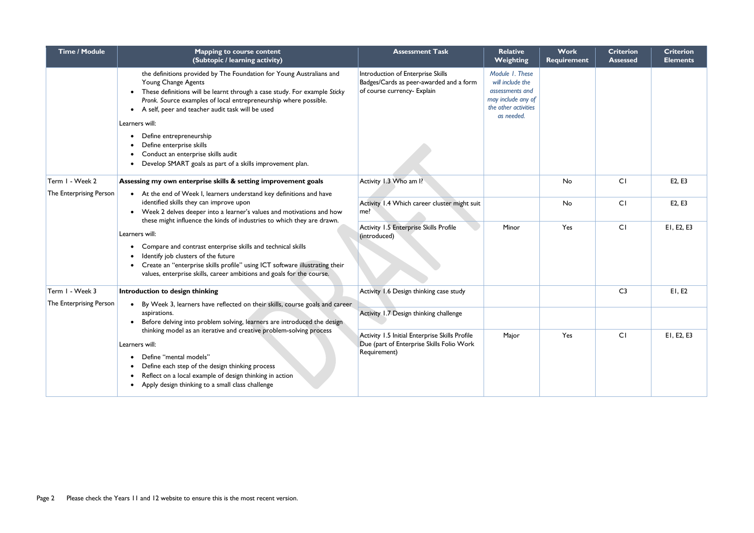| <b>Time / Module</b>                                                                                                                                                                                                                                                                                                                                   | <b>Mapping to course content</b><br>(Subtopic / learning activity)                                                                                                                                                                                                                               | <b>Assessment Task</b>                                                                                      | <b>Relative</b><br><b>Weighting</b>                                                                                | <b>Work</b><br><b>Requirement</b> | <b>Criterion</b><br><b>Assessed</b> | <b>Criterion</b><br><b>Elements</b> |
|--------------------------------------------------------------------------------------------------------------------------------------------------------------------------------------------------------------------------------------------------------------------------------------------------------------------------------------------------------|--------------------------------------------------------------------------------------------------------------------------------------------------------------------------------------------------------------------------------------------------------------------------------------------------|-------------------------------------------------------------------------------------------------------------|--------------------------------------------------------------------------------------------------------------------|-----------------------------------|-------------------------------------|-------------------------------------|
|                                                                                                                                                                                                                                                                                                                                                        | the definitions provided by The Foundation for Young Australians and<br>Young Change Agents<br>These definitions will be learnt through a case study. For example Sticky<br>Pronk. Source examples of local entrepreneurship where possible.<br>A self, peer and teacher audit task will be used | Introduction of Enterprise Skills<br>Badges/Cards as peer-awarded and a form<br>of course currency- Explain | Module 1. These<br>will include the<br>assessments and<br>may include any of<br>the other activities<br>as needed. |                                   |                                     |                                     |
| Learners will:<br>Define entrepreneurship<br>Define enterprise skills<br>Conduct an enterprise skills audit<br>Develop SMART goals as part of a skills improvement plan.                                                                                                                                                                               |                                                                                                                                                                                                                                                                                                  |                                                                                                             |                                                                                                                    |                                   |                                     |                                     |
| Term I - Week 2<br>The Enterprising Person                                                                                                                                                                                                                                                                                                             | Assessing my own enterprise skills & setting improvement goals<br>• At the end of Week I, learners understand key definitions and have                                                                                                                                                           | Activity 1.3 Who am I?                                                                                      |                                                                                                                    | No                                | CI                                  | E2, E3                              |
|                                                                                                                                                                                                                                                                                                                                                        | identified skills they can improve upon<br>Week 2 delves deeper into a learner's values and motivations and how                                                                                                                                                                                  | Activity 1.4 Which career cluster might suit<br>me?                                                         |                                                                                                                    | No                                | CI                                  | E2, E3                              |
| these might influence the kinds of industries to which they are drawn.<br>Learners will:<br>Compare and contrast enterprise skills and technical skills<br>Identify job clusters of the future<br>Create an "enterprise skills profile" using ICT software illustrating their<br>values, enterprise skills, career ambitions and goals for the course. | <b>Activity 1.5 Enterprise Skills Profile</b><br>(introduced)                                                                                                                                                                                                                                    | Minor                                                                                                       | Yes                                                                                                                | CI                                | EI, E2, E3                          |                                     |
| Term I - Week 3                                                                                                                                                                                                                                                                                                                                        | Introduction to design thinking                                                                                                                                                                                                                                                                  | Activity 1.6 Design thinking case study                                                                     |                                                                                                                    |                                   | C <sub>3</sub>                      | EI, E2                              |
| The Enterprising Person                                                                                                                                                                                                                                                                                                                                | By Week 3, learners have reflected on their skills, course goals and career<br>aspirations.<br>Before delving into problem solving, learners are introduced the design                                                                                                                           | Activity 1.7 Design thinking challenge                                                                      |                                                                                                                    |                                   |                                     |                                     |
| thinking model as an iterative and creative problem-solving process<br>Learners will:<br>Define "mental models"<br>Define each step of the design thinking process<br>Reflect on a local example of design thinking in action<br>Apply design thinking to a small class challenge                                                                      | Activity 1.5 Initial Enterprise Skills Profile<br>Due (part of Enterprise Skills Folio Work<br>Requirement)                                                                                                                                                                                      | Major                                                                                                       | Yes                                                                                                                | CI                                | EI, E2, E3                          |                                     |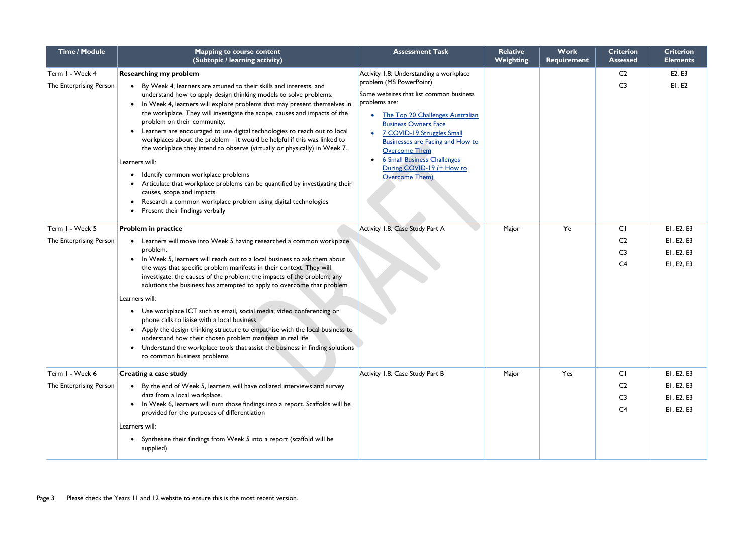| <b>Time / Module</b>                       | <b>Mapping to course content</b><br>(Subtopic / learning activity)                                                                                                                                                                                                                                                                                                                                                                                                                                                                                                                                                                                                                                                                                                                                                                                                              | <b>Assessment Task</b>                                                                                                                                                                                                                                                                                                                                                                                      | <b>Relative</b><br><b>Weighting</b> | <b>Work</b><br><b>Requirement</b> | <b>Criterion</b><br><b>Assessed</b>                             | <b>Criterion</b><br><b>Elements</b>                  |
|--------------------------------------------|---------------------------------------------------------------------------------------------------------------------------------------------------------------------------------------------------------------------------------------------------------------------------------------------------------------------------------------------------------------------------------------------------------------------------------------------------------------------------------------------------------------------------------------------------------------------------------------------------------------------------------------------------------------------------------------------------------------------------------------------------------------------------------------------------------------------------------------------------------------------------------|-------------------------------------------------------------------------------------------------------------------------------------------------------------------------------------------------------------------------------------------------------------------------------------------------------------------------------------------------------------------------------------------------------------|-------------------------------------|-----------------------------------|-----------------------------------------------------------------|------------------------------------------------------|
| Term I - Week 4<br>The Enterprising Person | <b>Researching my problem</b><br>By Week 4, learners are attuned to their skills and interests, and<br>understand how to apply design thinking models to solve problems.<br>In Week 4, learners will explore problems that may present themselves in<br>the workplace. They will investigate the scope, causes and impacts of the<br>problem on their community.<br>Learners are encouraged to use digital technologies to reach out to local<br>workplaces about the problem - it would be helpful if this was linked to<br>the workplace they intend to observe (virtually or physically) in Week 7.<br>Learners will:<br>Identify common workplace problems<br>Articulate that workplace problems can be quantified by investigating their<br>causes, scope and impacts<br>Research a common workplace problem using digital technologies<br>Present their findings verbally | Activity 1.8: Understanding a workplace<br>problem (MS PowerPoint)<br>Some websites that list common business<br>problems are:<br>The Top 20 Challenges Australian<br>$\bullet$<br><b>Business Owners Face</b><br>7 COVID-19 Struggles Small<br><b>Businesses are Facing and How to</b><br><b>Overcome Them</b><br><b>6 Small Business Challenges</b><br>During COVID-19 (+ How to<br><b>Overcome Them)</b> |                                     |                                   | C <sub>2</sub><br>C <sub>3</sub>                                | E <sub>2</sub> , E <sub>3</sub><br>EI, E2            |
| Term I - Week 5<br>The Enterprising Person | <b>Problem in practice</b><br>Learners will move into Week 5 having researched a common workplace<br>problem,<br>In Week 5, learners will reach out to a local business to ask them about<br>the ways that specific problem manifests in their context. They will<br>investigate: the causes of the problem; the impacts of the problem; any<br>solutions the business has attempted to apply to overcome that problem<br>Learners will:<br>Use workplace ICT such as email, social media, video conferencing or<br>phone calls to liaise with a local business<br>Apply the design thinking structure to empathise with the local business to<br>$\bullet$<br>understand how their chosen problem manifests in real life<br>Understand the workplace tools that assist the business in finding solutions<br>to common business problems                                        | Activity 1.8: Case Study Part A                                                                                                                                                                                                                                                                                                                                                                             | Major                               | Ye                                | C1<br>C <sub>2</sub><br>C <sub>3</sub><br>C <sub>4</sub>        | EI, E2, E3<br>EI, E2, E3<br>EI, E2, E3<br>EI, E2, E3 |
| Term I - Week 6<br>The Enterprising Person | Creating a case study<br>By the end of Week 5, learners will have collated interviews and survey<br>data from a local workplace.<br>• In Week 6, learners will turn those findings into a report. Scaffolds will be<br>provided for the purposes of differentiation<br>Learners will:<br>• Synthesise their findings from Week 5 into a report (scaffold will be<br>supplied)                                                                                                                                                                                                                                                                                                                                                                                                                                                                                                   | Activity 1.8: Case Study Part B                                                                                                                                                                                                                                                                                                                                                                             | Major                               | Yes                               | <b>CI</b><br>C <sub>2</sub><br>C <sub>3</sub><br>C <sub>4</sub> | EI, E2, E3<br>EI, E2, E3<br>EI, E2, E3<br>EI, E2, E3 |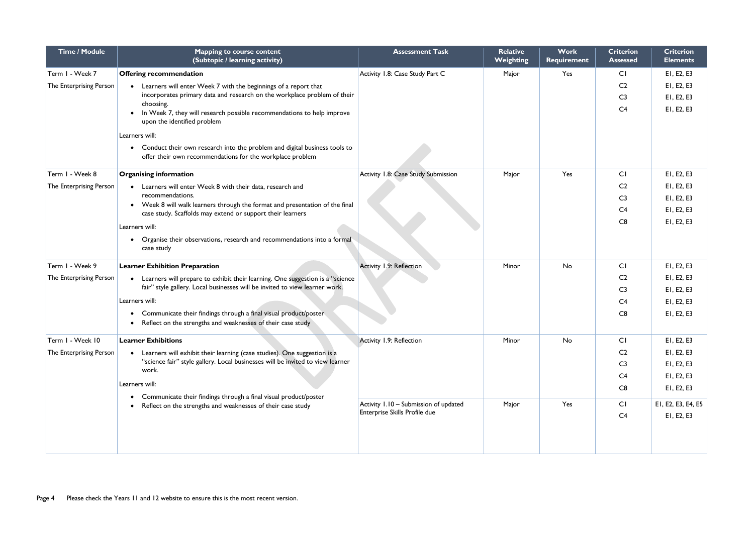| <b>Time / Module</b>    | <b>Mapping to course content</b><br>(Subtopic / learning activity)                                                                         | <b>Assessment Task</b>                | <b>Relative</b><br><b>Weighting</b> | <b>Work</b><br><b>Requirement</b> | <b>Criterion</b><br><b>Assessed</b> | <b>Criterion</b><br><b>Elements</b> |
|-------------------------|--------------------------------------------------------------------------------------------------------------------------------------------|---------------------------------------|-------------------------------------|-----------------------------------|-------------------------------------|-------------------------------------|
| Term I - Week 7         | <b>Offering recommendation</b>                                                                                                             | Activity 1.8: Case Study Part C       | Major                               | Yes                               | CI                                  | EI, E2, E3                          |
| The Enterprising Person | Learners will enter Week 7 with the beginnings of a report that                                                                            |                                       |                                     |                                   | C <sub>2</sub>                      | EI, E2, E3                          |
|                         | incorporates primary data and research on the workplace problem of their                                                                   |                                       |                                     |                                   | C <sub>3</sub>                      | EI, E2, E3                          |
|                         | choosing.<br>In Week 7, they will research possible recommendations to help improve                                                        |                                       |                                     |                                   | C <sub>4</sub>                      | EI, E2, E3                          |
|                         | upon the identified problem                                                                                                                |                                       |                                     |                                   |                                     |                                     |
|                         | Learners will:                                                                                                                             |                                       |                                     |                                   |                                     |                                     |
|                         | Conduct their own research into the problem and digital business tools to<br>offer their own recommendations for the workplace problem     |                                       |                                     |                                   |                                     |                                     |
| Term I - Week 8         | <b>Organising information</b>                                                                                                              | Activity 1.8: Case Study Submission   | Major                               | Yes                               | CI                                  | EI, E2, E3                          |
| The Enterprising Person | Learners will enter Week 8 with their data, research and                                                                                   |                                       |                                     |                                   | C <sub>2</sub>                      | EI, E2, E3                          |
|                         | recommendations.                                                                                                                           |                                       |                                     |                                   | C <sub>3</sub>                      | EI, E2, E3                          |
|                         | • Week 8 will walk learners through the format and presentation of the final<br>case study. Scaffolds may extend or support their learners |                                       |                                     |                                   | C <sub>4</sub>                      | EI, E2, E3                          |
|                         | Learners will:                                                                                                                             |                                       |                                     |                                   | C8                                  | EI, E2, E3                          |
|                         | Organise their observations, research and recommendations into a formal<br>case study                                                      |                                       |                                     |                                   |                                     |                                     |
| Term I - Week 9         | <b>Learner Exhibition Preparation</b>                                                                                                      | Activity 1,9: Reflection              | Minor                               | No                                | CI                                  | EI, E2, E3                          |
| The Enterprising Person | Learners will prepare to exhibit their learning. One suggestion is a "science                                                              |                                       |                                     |                                   | C <sub>2</sub>                      | EI, E2, E3                          |
|                         | fair" style gallery. Local businesses will be invited to view learner work.                                                                |                                       |                                     |                                   | C <sub>3</sub>                      | EI, E2, E3                          |
|                         | Learners will:                                                                                                                             |                                       |                                     |                                   | C <sub>4</sub>                      | EI, E2, E3                          |
|                         | Communicate their findings through a final visual product/poster                                                                           |                                       |                                     |                                   | C8                                  | EI, E2, E3                          |
|                         | Reflect on the strengths and weaknesses of their case study                                                                                |                                       |                                     |                                   |                                     |                                     |
| Term I - Week 10        | <b>Learner Exhibitions</b>                                                                                                                 | Activity 1.9: Reflection              | Minor                               | No                                | CI                                  | EI, E2, E3                          |
| The Enterprising Person | Learners will exhibit their learning (case studies). One suggestion is a                                                                   |                                       |                                     |                                   | C <sub>2</sub>                      | EI, E2, E3                          |
|                         | "science fair" style gallery. Local businesses will be invited to view learner<br>work.                                                    |                                       |                                     |                                   | C <sub>3</sub>                      | EI, E2, E3                          |
|                         |                                                                                                                                            |                                       |                                     |                                   | C <sub>4</sub>                      | EI, E2, E3                          |
|                         | Learners will:                                                                                                                             |                                       |                                     |                                   | C8                                  | EI, E2, E3                          |
|                         | Communicate their findings through a final visual product/poster<br>Reflect on the strengths and weaknesses of their case study            | Activity 1.10 - Submission of updated | Major                               | Yes                               | CI                                  | E1, E2, E3, E4, E5                  |
|                         |                                                                                                                                            | Enterprise Skills Profile due         |                                     |                                   | C <sub>4</sub>                      | EI, E2, E3                          |
|                         |                                                                                                                                            |                                       |                                     |                                   |                                     |                                     |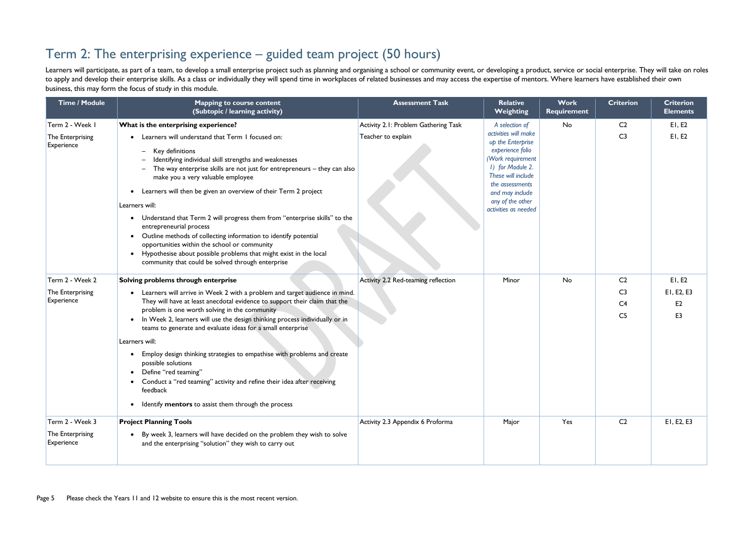## Term 2: The enterprising experience – guided team project (50 hours)

Learners will participate, as part of a team, to develop a small enterprise project such as planning and organising a school or community event, or developing a product, service or social enterprise. They will take on role to apply and develop their enterprise skills. As a class or individually they will spend time in workplaces of related businesses and may access the expertise of mentors. Where learners have established their own business, this may form the focus of study in this module.

| <b>Time / Module</b>                              | <b>Mapping to course content</b><br>(Subtopic / learning activity)                                                                                                                                                                                                                                                                                                                                                                                                                                                                                                                                                                                                                                                                                         | <b>Assessment Task</b>               | <b>Relative</b><br>Weighting                                                                                                                                                                                   | <b>Work</b><br><b>Requirement</b> | <b>Criterion</b>                                   | <b>Criterion</b><br><b>Elements</b>            |
|---------------------------------------------------|------------------------------------------------------------------------------------------------------------------------------------------------------------------------------------------------------------------------------------------------------------------------------------------------------------------------------------------------------------------------------------------------------------------------------------------------------------------------------------------------------------------------------------------------------------------------------------------------------------------------------------------------------------------------------------------------------------------------------------------------------------|--------------------------------------|----------------------------------------------------------------------------------------------------------------------------------------------------------------------------------------------------------------|-----------------------------------|----------------------------------------------------|------------------------------------------------|
| Term 2 - Week I                                   | What is the enterprising experience?                                                                                                                                                                                                                                                                                                                                                                                                                                                                                                                                                                                                                                                                                                                       | Activity 2.1: Problem Gathering Task | A selection of                                                                                                                                                                                                 | No                                | C <sub>2</sub>                                     | EI, E2                                         |
| The Enterprising<br>Experience                    | Learners will understand that Term I focused on:<br>Key definitions<br>$\overline{\phantom{0}}$<br>Identifying individual skill strengths and weaknesses<br>The way enterprise skills are not just for entrepreneurs - they can also<br>make you a very valuable employee<br>Learners will then be given an overview of their Term 2 project<br>$\bullet$<br>Learners will:<br>Understand that Term 2 will progress them from "enterprise skills" to the<br>$\bullet$<br>entrepreneurial process<br>Outline methods of collecting information to identify potential<br>opportunities within the school or community<br>Hypothesise about possible problems that might exist in the local<br>$\bullet$<br>community that could be solved through enterprise | Teacher to explain                   | activities will make<br>up the Enterprise<br>experience folio<br>(Work requirement<br>1) for Module 2.<br>These will include<br>the assessments<br>and may include<br>any of the other<br>activities as needed |                                   | C <sub>3</sub>                                     | E1, E2                                         |
| Term 2 - Week 2                                   | Solving problems through enterprise                                                                                                                                                                                                                                                                                                                                                                                                                                                                                                                                                                                                                                                                                                                        | Activity 2.2 Red-teaming reflection  | Minor                                                                                                                                                                                                          | No                                | C <sub>2</sub>                                     | E1, E2                                         |
| The Enterprising<br>Experience                    | • Learners will arrive in Week 2 with a problem and target audience in mind.<br>They will have at least anecdotal evidence to support their claim that the<br>problem is one worth solving in the community<br>In Week 2, learners will use the design thinking process individually or in<br>teams to generate and evaluate ideas for a small enterprise<br>Learners will:<br>Employ design thinking strategies to empathise with problems and create<br>possible solutions<br>• Define "red teaming"<br>• Conduct a "red teaming" activity and refine their idea after receiving<br>feedback<br>Identify mentors to assist them through the process                                                                                                      |                                      |                                                                                                                                                                                                                |                                   | C <sub>3</sub><br>C <sub>4</sub><br>C <sub>5</sub> | EI, E2, E3<br>E <sub>2</sub><br>E <sub>3</sub> |
| Term 2 - Week 3<br>The Enterprising<br>Experience | <b>Project Planning Tools</b><br>• By week 3, learners will have decided on the problem they wish to solve<br>and the enterprising "solution" they wish to carry out                                                                                                                                                                                                                                                                                                                                                                                                                                                                                                                                                                                       | Activity 2.3 Appendix 6 Proforma     | Major                                                                                                                                                                                                          | Yes                               | C <sub>2</sub>                                     | EI, E2, E3                                     |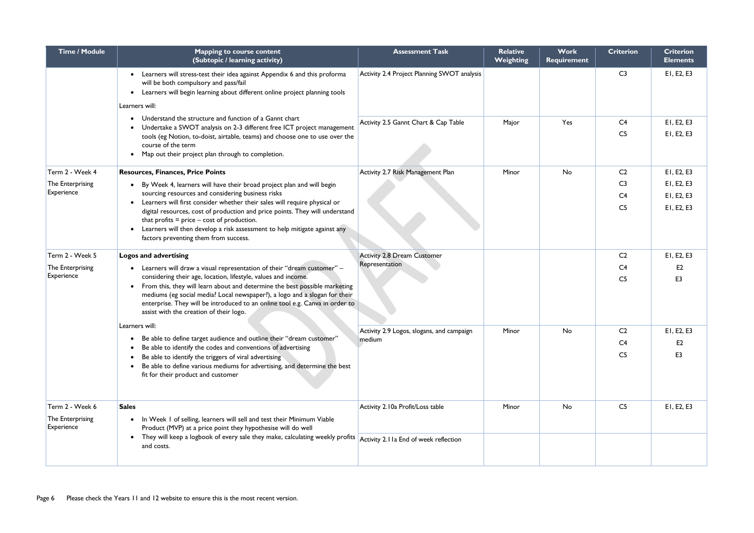| <b>Time / Module</b>                                                                                                                                                                                                                                                                       | <b>Mapping to course content</b><br>(Subtopic / learning activity)                                                                                                                                                                                                                                                                                                                                                                                                                                          | <b>Assessment Task</b>                                                    | <b>Relative</b><br><b>Weighting</b> | <b>Work</b><br><b>Requirement</b> | <b>Criterion</b>                                                     | <b>Criterion</b><br><b>Elements</b>                  |
|--------------------------------------------------------------------------------------------------------------------------------------------------------------------------------------------------------------------------------------------------------------------------------------------|-------------------------------------------------------------------------------------------------------------------------------------------------------------------------------------------------------------------------------------------------------------------------------------------------------------------------------------------------------------------------------------------------------------------------------------------------------------------------------------------------------------|---------------------------------------------------------------------------|-------------------------------------|-----------------------------------|----------------------------------------------------------------------|------------------------------------------------------|
|                                                                                                                                                                                                                                                                                            | • Learners will stress-test their idea against Appendix 6 and this proforma<br>will be both compulsory and pass/fail<br>Learners will begin learning about different online project planning tools<br>Learners will:                                                                                                                                                                                                                                                                                        | Activity 2.4 Project Planning SWOT analysis                               |                                     |                                   | C <sub>3</sub>                                                       | EI, E2, E3                                           |
| Understand the structure and function of a Gannt chart<br>Undertake a SWOT analysis on 2-3 different free ICT project management<br>tools (eg Notion, to-doist, airtable, teams) and choose one to use over the<br>course of the term<br>Map out their project plan through to completion. | Activity 2.5 Gannt Chart & Cap Table                                                                                                                                                                                                                                                                                                                                                                                                                                                                        | Major                                                                     | Yes                                 | C <sub>4</sub><br>C <sub>5</sub>  | EI, E2, E3<br>EI, E2, E3                                             |                                                      |
| Term 2 - Week 4<br>The Enterprising<br>Experience                                                                                                                                                                                                                                          | <b>Resources, Finances, Price Points</b><br>By Week 4, learners will have their broad project plan and will begin<br>sourcing resources and considering business risks<br>Learners will first consider whether their sales will require physical or<br>digital resources, cost of production and price points. They will understand<br>that profits $=$ price $-$ cost of production.<br>Learners will then develop a risk assessment to help mitigate against any<br>factors preventing them from success. | Activity 2.7 Risk Management Plan                                         | Minor                               | No                                | C <sub>2</sub><br>C <sub>3</sub><br>C <sub>4</sub><br>C <sub>5</sub> | EI, E2, E3<br>EI, E2, E3<br>EI, E2, E3<br>EI, E2, E3 |
| Term 2 - Week 5<br>The Enterprising<br>Experience                                                                                                                                                                                                                                          | <b>Logos and advertising</b><br>Learners will draw a visual representation of their "dream customer" -<br>considering their age, location, lifestyle, values and income.<br>From this, they will learn about and determine the best possible marketing<br>mediums (eg social media? Local newspaper?), a logo and a slogan for their<br>enterprise. They will be introduced to an online tool e.g. Canva in order to<br>assist with the creation of their logo.                                             | <b>Activity 2.8 Dream Customer</b><br>Representation                      |                                     |                                   | C <sub>2</sub><br>C <sub>4</sub><br>C <sub>5</sub>                   | EI, E2, E3<br>E2<br>E <sub>3</sub>                   |
|                                                                                                                                                                                                                                                                                            | Learners will:<br>Be able to define target audience and outline their "dream customer"<br>Be able to identify the codes and conventions of advertising<br>Be able to identify the triggers of viral advertising<br>Be able to define various mediums for advertising, and determine the best<br>fit for their product and customer                                                                                                                                                                          | Activity 2.9 Logos, slogans, and campaign<br>medium                       | Minor                               | No                                | C <sub>2</sub><br>C <sub>4</sub><br>C <sub>5</sub>                   | EI, E2, E3<br>E2<br>E <sub>3</sub>                   |
| Term 2 - Week 6<br>The Enterprising<br>Experience                                                                                                                                                                                                                                          | <b>Sales</b><br>In Week I of selling, learners will sell and test their Minimum Viable<br>Product (MVP) at a price point they hypothesise will do well<br>• They will keep a logbook of every sale they make, calculating weekly profits<br>and costs.                                                                                                                                                                                                                                                      | Activity 2.10a Profit/Loss table<br>Activity 2.11a End of week reflection | Minor                               | No                                | C <sub>5</sub>                                                       | EI, E2, E3                                           |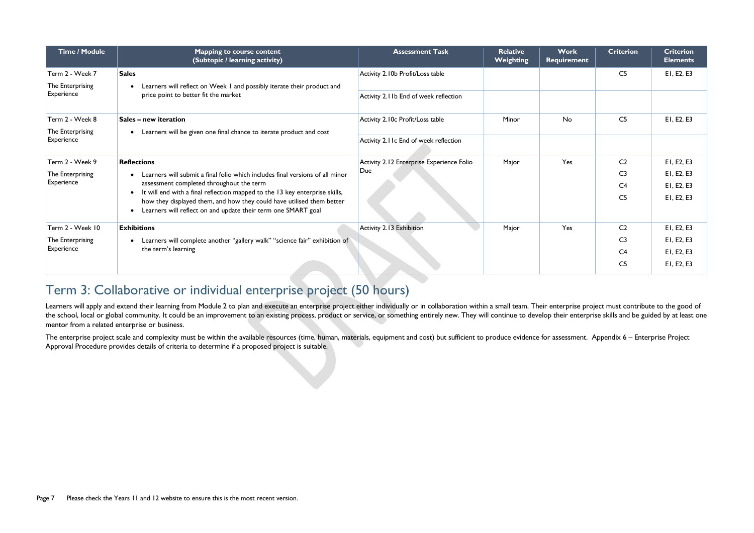| <b>Time / Module</b> | <b>Mapping to course content</b><br>(Subtopic / learning activity)                                                                                   | <b>Assessment Task</b>                    | <b>Relative</b><br><b>Weighting</b> | Work<br>Requirement | <b>Criterion</b> | <b>Criterion</b><br><b>Elements</b> |
|----------------------|------------------------------------------------------------------------------------------------------------------------------------------------------|-------------------------------------------|-------------------------------------|---------------------|------------------|-------------------------------------|
| Term 2 - Week 7      | <b>Sales</b>                                                                                                                                         | Activity 2.10b Profit/Loss table          |                                     |                     | C <sub>5</sub>   | EI, E2, E3                          |
| The Enterprising     | Learners will reflect on Week I and possibly iterate their product and                                                                               |                                           |                                     |                     |                  |                                     |
| Experience           | price point to better fit the market                                                                                                                 | Activity 2.11b End of week reflection     |                                     |                     |                  |                                     |
| Term 2 - Week 8      | Sales - new iteration                                                                                                                                | Activity 2.10c Profit/Loss table          | Minor                               | <b>No</b>           | C <sub>5</sub>   | EI, E2, E3                          |
| The Enterprising     | Learners will be given one final chance to iterate product and cost<br>$\bullet$                                                                     |                                           |                                     |                     |                  |                                     |
| Experience           | Activity 2.11c End of week reflection                                                                                                                |                                           |                                     |                     |                  |                                     |
| Term 2 - Week 9      | <b>Reflections</b>                                                                                                                                   | Activity 2.12 Enterprise Experience Folio | Major                               | Yes                 | C <sub>2</sub>   | EI, E2, E3                          |
| The Enterprising     | Learners will submit a final folio which includes final versions of all minor                                                                        | Due                                       |                                     |                     | C <sub>3</sub>   | EI, E2, E3                          |
| Experience           | assessment completed throughout the term                                                                                                             |                                           |                                     |                     | C <sub>4</sub>   | EI, E2, E3                          |
|                      | It will end with a final reflection mapped to the 13 key enterprise skills,<br>how they displayed them, and how they could have utilised them better |                                           |                                     |                     | C <sub>5</sub>   | EI, E2, E3                          |
|                      | Learners will reflect on and update their term one SMART goal                                                                                        |                                           |                                     |                     |                  |                                     |
| Term 2 - Week 10     | <b>Exhibitions</b>                                                                                                                                   | Activity 2.13 Exhibition                  | Major                               | Yes                 | C <sub>2</sub>   | EI, E2, E3                          |
| The Enterprising     | Learners will complete another "gallery walk" "science fair" exhibition of                                                                           |                                           |                                     |                     | C <sub>3</sub>   | EI, E2, E3                          |
| Experience           | the term's learning                                                                                                                                  |                                           |                                     |                     | C <sub>4</sub>   | EI, E2, E3                          |
|                      |                                                                                                                                                      |                                           |                                     |                     | C <sub>5</sub>   | EI, E2, E3                          |

Learners will apply and extend their learning from Module 2 to plan and execute an enterprise project either individually or in collaboration within a small team. Their enterprise project must contribute to the good of the school, local or global community. It could be an improvement to an existing process, product or service, or something entirely new. They will continue to develop their enterprise skills and be guided by at least one mentor from a related enterprise or business.

The enterprise project scale and complexity must be within the available resources (time, human, materials, equipment and cost) but sufficient to produce evidence for assessment. Appendix 6 - Enterprise Project Approval Procedure provides details of criteria to determine if a proposed project is suitable.

# Term 3: Collaborative or individual enterprise project (50 hours)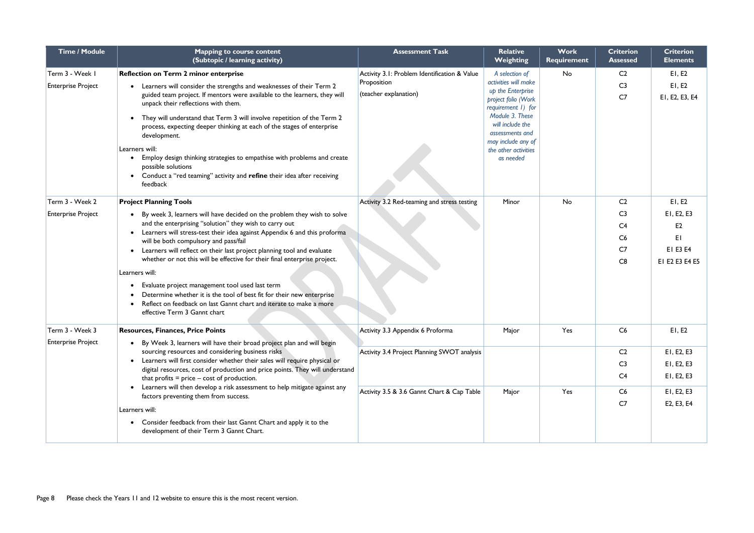| <b>Time / Module</b>                                                                                                                                                 | <b>Mapping to course content</b><br>(Subtopic / learning activity)                                                             | <b>Assessment Task</b>                                                       | <b>Relative</b><br><b>Weighting</b>       | <b>Work</b><br><b>Requirement</b> | <b>Criterion</b><br><b>Assessed</b> | <b>Criterion</b><br><b>Elements</b> |
|----------------------------------------------------------------------------------------------------------------------------------------------------------------------|--------------------------------------------------------------------------------------------------------------------------------|------------------------------------------------------------------------------|-------------------------------------------|-----------------------------------|-------------------------------------|-------------------------------------|
| Term 3 - Week I                                                                                                                                                      | <b>Reflection on Term 2 minor enterprise</b>                                                                                   | Activity 3.1: Problem Identification & Value                                 | A selection of                            | No                                | C <sub>2</sub>                      | E1, E2                              |
| <b>Enterprise Project</b>                                                                                                                                            | Learners will consider the strengths and weaknesses of their Term 2                                                            | Proposition                                                                  | activities will make<br>up the Enterprise |                                   | C <sub>3</sub>                      | E1, E2                              |
|                                                                                                                                                                      | guided team project. If mentors were available to the learners, they will<br>unpack their reflections with them.               | (teacher explanation)                                                        | project folio (Work<br>requirement 1) for |                                   | C <sub>7</sub>                      | EI, E2, E3, E4                      |
| They will understand that Term 3 will involve repetition of the Term 2<br>process, expecting deeper thinking at each of the stages of enterprise<br>development.     |                                                                                                                                | Module 3. These<br>will include the<br>assessments and<br>may include any of |                                           |                                   |                                     |                                     |
|                                                                                                                                                                      | Learners will:                                                                                                                 |                                                                              | the other activities                      |                                   |                                     |                                     |
|                                                                                                                                                                      | Employ design thinking strategies to empathise with problems and create<br>possible solutions                                  |                                                                              | as needed                                 |                                   |                                     |                                     |
|                                                                                                                                                                      | Conduct a "red teaming" activity and refine their idea after receiving<br>feedback                                             |                                                                              |                                           |                                   |                                     |                                     |
| Term 3 - Week 2                                                                                                                                                      | <b>Project Planning Tools</b>                                                                                                  | Activity 3.2 Red-teaming and stress testing                                  | Minor                                     | No                                | C <sub>2</sub>                      | E1, E2                              |
| <b>Enterprise Project</b>                                                                                                                                            | By week 3, learners will have decided on the problem they wish to solve                                                        |                                                                              |                                           |                                   | C <sub>3</sub>                      | EI, E2, E3                          |
|                                                                                                                                                                      | and the enterprising "solution" they wish to carry out                                                                         |                                                                              |                                           |                                   | C <sub>4</sub>                      | E <sub>2</sub>                      |
|                                                                                                                                                                      | Learners will stress-test their idea against Appendix 6 and this proforma<br>will be both compulsory and pass/fail             |                                                                              |                                           |                                   | C6                                  | EI                                  |
|                                                                                                                                                                      | Learners will reflect on their last project planning tool and evaluate                                                         |                                                                              |                                           |                                   | C <sub>7</sub>                      | EI E3 E4                            |
|                                                                                                                                                                      | whether or not this will be effective for their final enterprise project.                                                      |                                                                              |                                           |                                   | C8                                  | EI E2 E3 E4 E5                      |
|                                                                                                                                                                      | Learners will:                                                                                                                 |                                                                              |                                           |                                   |                                     |                                     |
|                                                                                                                                                                      | Evaluate project management tool used last term                                                                                |                                                                              |                                           |                                   |                                     |                                     |
|                                                                                                                                                                      | Determine whether it is the tool of best fit for their new enterprise                                                          |                                                                              |                                           |                                   |                                     |                                     |
|                                                                                                                                                                      | Reflect on feedback on last Gannt chart and iterate to make a more<br>effective Term 3 Gannt chart                             |                                                                              |                                           |                                   |                                     |                                     |
| Term 3 - Week 3                                                                                                                                                      | <b>Resources, Finances, Price Points</b>                                                                                       | Activity 3.3 Appendix 6 Proforma                                             | Major                                     | Yes                               | C <sub>6</sub>                      | E1, E2                              |
| <b>Enterprise Project</b>                                                                                                                                            | By Week 3, learners will have their broad project plan and will begin                                                          |                                                                              |                                           |                                   |                                     |                                     |
|                                                                                                                                                                      | sourcing resources and considering business risks<br>Learners will first consider whether their sales will require physical or | Activity 3.4 Project Planning SWOT analysis                                  |                                           |                                   | C <sub>2</sub>                      | EI, E2, E3                          |
|                                                                                                                                                                      | digital resources, cost of production and price points. They will understand                                                   |                                                                              |                                           |                                   | C <sub>3</sub>                      | EI, E2, E3                          |
| that profits $=$ price $-$ cost of production.<br>Learners will then develop a risk assessment to help mitigate against any<br>factors preventing them from success. |                                                                                                                                |                                                                              |                                           | C <sub>4</sub>                    | EI, E2, E3                          |                                     |
|                                                                                                                                                                      | Activity 3.5 & 3.6 Gannt Chart & Cap Table                                                                                     | Major                                                                        | Yes                                       | C6                                | EI, E2, E3                          |                                     |
|                                                                                                                                                                      | Learners will:                                                                                                                 |                                                                              |                                           |                                   | C <sub>7</sub>                      | E2, E3, E4                          |
|                                                                                                                                                                      | Consider feedback from their last Gannt Chart and apply it to the<br>development of their Term 3 Gannt Chart.                  |                                                                              |                                           |                                   |                                     |                                     |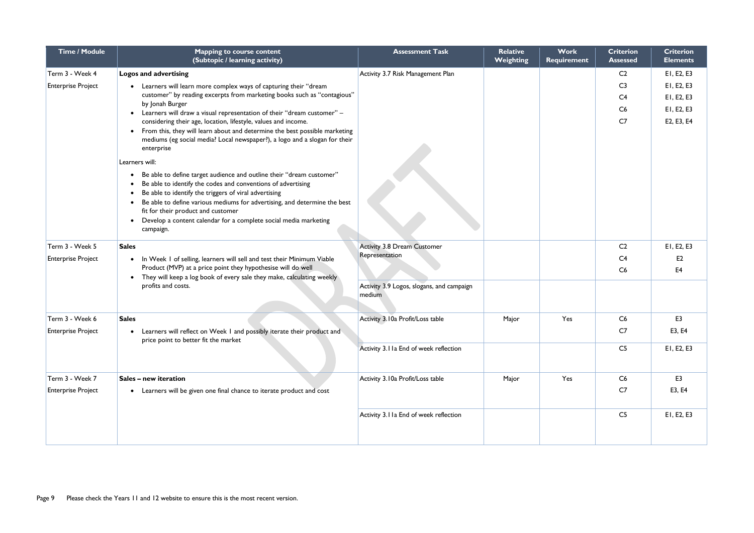| Time / Module             | <b>Mapping to course content</b><br>(Subtopic / learning activity)                                                                                                     | <b>Assessment Task</b>                              | <b>Relative</b><br>Weighting | Work<br><b>Requirement</b> | <b>Criterion</b><br>Assessed | <b>Criterion</b><br><b>Elements</b> |
|---------------------------|------------------------------------------------------------------------------------------------------------------------------------------------------------------------|-----------------------------------------------------|------------------------------|----------------------------|------------------------------|-------------------------------------|
| Term 3 - Week 4           | Logos and advertising                                                                                                                                                  | Activity 3.7 Risk Management Plan                   |                              |                            | C <sub>2</sub>               | EI, E2, E3                          |
| <b>Enterprise Project</b> | Learners will learn more complex ways of capturing their "dream                                                                                                        |                                                     |                              |                            | C <sub>3</sub>               | EI, E2, E3                          |
|                           | customer" by reading excerpts from marketing books such as "contagious"<br>by Jonah Burger                                                                             |                                                     |                              |                            | C <sub>4</sub>               | EI, E2, E3                          |
|                           | Learners will draw a visual representation of their "dream customer" -                                                                                                 |                                                     |                              |                            | C6                           | EI, E2, E3                          |
|                           | considering their age, location, lifestyle, values and income.                                                                                                         |                                                     |                              |                            | C <sub>7</sub>               | E2, E3, E4                          |
|                           | From this, they will learn about and determine the best possible marketing<br>mediums (eg social media? Local newspaper?), a logo and a slogan for their<br>enterprise |                                                     |                              |                            |                              |                                     |
|                           | Learners will:                                                                                                                                                         |                                                     |                              |                            |                              |                                     |
|                           | Be able to define target audience and outline their "dream customer"<br>Be able to identify the codes and conventions of advertising                                   |                                                     |                              |                            |                              |                                     |
|                           | Be able to identify the triggers of viral advertising                                                                                                                  |                                                     |                              |                            |                              |                                     |
|                           | Be able to define various mediums for advertising, and determine the best<br>fit for their product and customer                                                        |                                                     |                              |                            |                              |                                     |
|                           | Develop a content calendar for a complete social media marketing<br>campaign.                                                                                          |                                                     |                              |                            |                              |                                     |
| Term 3 - Week 5           | <b>Sales</b>                                                                                                                                                           | <b>Activity 3.8 Dream Customer</b>                  |                              |                            | C <sub>2</sub>               | EI, E2, E3                          |
| <b>Enterprise Project</b> | In Week I of selling, learners will sell and test their Minimum Viable<br>$\bullet$                                                                                    | Representation                                      |                              |                            | C <sub>4</sub>               | E2                                  |
|                           | Product (MVP) at a price point they hypothesise will do well<br>They will keep a log book of every sale they make, calculating weekly                                  |                                                     |                              |                            | C6                           | E <sub>4</sub>                      |
|                           | profits and costs.                                                                                                                                                     | Activity 3.9 Logos, slogans, and campaign<br>medium |                              |                            |                              |                                     |
| Term 3 - Week 6           | <b>Sales</b>                                                                                                                                                           | Activity 3.10a Profit/Loss table                    | Major                        | Yes                        | C6                           | E <sub>3</sub>                      |
| <b>Enterprise Project</b> | Learners will reflect on Week I and possibly iterate their product and<br>price point to better fit the market                                                         |                                                     |                              |                            | C7                           | E3, E4                              |
|                           |                                                                                                                                                                        | Activity 3.11a End of week reflection               |                              |                            | C <sub>5</sub>               | EI, E2, E3                          |
| Term 3 - Week 7           | Sales - new iteration                                                                                                                                                  | Activity 3.10a Profit/Loss table                    | Major                        | Yes                        | C6                           | E <sub>3</sub>                      |
| <b>Enterprise Project</b> | Learners will be given one final chance to iterate product and cost                                                                                                    |                                                     |                              |                            | C7                           | E3, E4                              |
|                           |                                                                                                                                                                        | Activity 3.11a End of week reflection               |                              |                            | C <sub>5</sub>               | EI, E2, E3                          |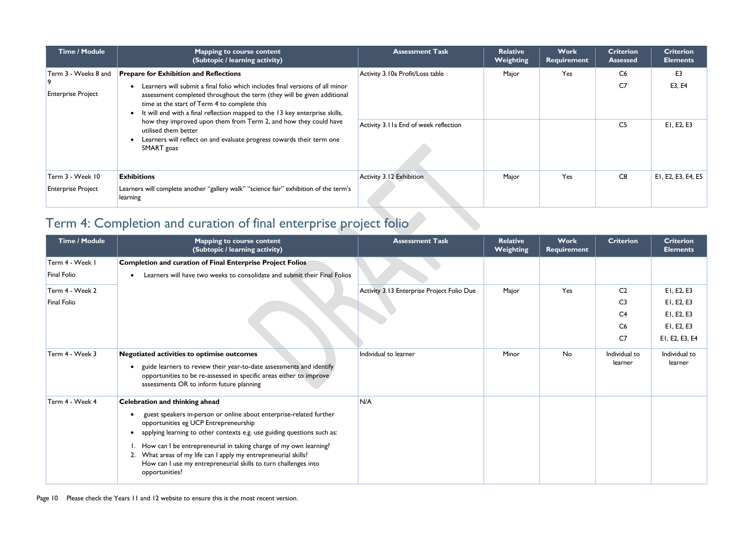| <b>Time / Module</b>                              | <b>Mapping to course content</b><br>(Subtopic / learning activity)                                                                                                                                                                                                                                                                                                                                                                                                                                                          | <b>Assessment Task</b>                                                    | <b>Relative</b><br>Weighting | <b>Work</b><br>Requirement | <b>Criterion</b><br><b>Assessed</b>    | <b>Criterion</b><br><b>Elements</b>    |
|---------------------------------------------------|-----------------------------------------------------------------------------------------------------------------------------------------------------------------------------------------------------------------------------------------------------------------------------------------------------------------------------------------------------------------------------------------------------------------------------------------------------------------------------------------------------------------------------|---------------------------------------------------------------------------|------------------------------|----------------------------|----------------------------------------|----------------------------------------|
| Term 3 - Weeks 8 and<br><b>Enterprise Project</b> | <b>Prepare for Exhibition and Reflections</b><br>Learners will submit a final folio which includes final versions of all minor<br>assessment completed throughout the term (they will be given additional<br>time at the start of Term 4 to complete this<br>It will end with a final reflection mapped to the 13 key enterprise skills,<br>how they improved upon them from Term 2, and how they could have<br>utilised them better<br>Learners will reflect on and evaluate progress towards their term one<br>SMART goas | Activity 3.10a Profit/Loss table<br>Activity 3.11a End of week reflection | Major                        | Yes                        | C6<br>C <sub>7</sub><br>C <sub>5</sub> | E <sub>3</sub><br>E3, E4<br>EI, E2, E3 |
| Term 3 - Week 10<br><b>Enterprise Project</b>     | <b>Exhibitions</b><br>Learners will complete another "gallery walk" "science fair" exhibition of the term's<br>learning                                                                                                                                                                                                                                                                                                                                                                                                     | <b>Activity 3.12 Exhibition</b>                                           | Major                        | Yes                        | C8                                     | EI, E2, E3, E4, E5                     |

# Term 4: Completion and curation of final enterprise project folio

| Time / Module   | <b>Mapping to course content</b><br>(Subtopic / learning activity)                                                                                                                                                                           | <b>Assessment Task</b>                     | <b>Relative</b><br>Weighting | <b>Work</b><br>Requirement | <b>Criterion</b>         | <b>Criterion</b><br><b>Elements</b> |
|-----------------|----------------------------------------------------------------------------------------------------------------------------------------------------------------------------------------------------------------------------------------------|--------------------------------------------|------------------------------|----------------------------|--------------------------|-------------------------------------|
| Term 4 - Week I | <b>Completion and curation of Final Enterprise Project Folios</b>                                                                                                                                                                            |                                            |                              |                            |                          |                                     |
| Final Folio     | Learners will have two weeks to consolidate and submit their Final Folios                                                                                                                                                                    |                                            |                              |                            |                          |                                     |
| Term 4 - Week 2 |                                                                                                                                                                                                                                              | Activity 3.13 Enterprise Project Folio Due | Major                        | Yes                        | C <sub>2</sub>           | EI, E2, E3                          |
| Final Folio     |                                                                                                                                                                                                                                              |                                            |                              |                            | C <sub>3</sub>           | EI, E2, E3                          |
|                 |                                                                                                                                                                                                                                              |                                            |                              |                            | C <sub>4</sub>           | EI, E2, E3                          |
|                 |                                                                                                                                                                                                                                              |                                            |                              |                            | C6                       | EI, E2, E3                          |
|                 |                                                                                                                                                                                                                                              |                                            |                              |                            | C <sub>7</sub>           | EI, E2, E3, E4                      |
| Term 4 - Week 3 | <b>Negotiated activities to optimise outcomes</b><br>guide learners to review their year-to-date assessments and identify<br>opportunities to be re-assessed in specific areas either to improve<br>assessments OR to inform future planning | Individual to learner                      | Minor                        | No                         | Individual to<br>learner | Individual to<br>learner            |
| Term 4 - Week 4 | <b>Celebration and thinking ahead</b>                                                                                                                                                                                                        | N/A                                        |                              |                            |                          |                                     |
|                 | guest speakers in-person or online about enterprise-related further<br>opportunities eg UCP Entrepreneurship<br>applying learning to other contexts e.g. use guiding questions such as:                                                      |                                            |                              |                            |                          |                                     |
|                 | I. How can I be entrepreneurial in taking charge of my own learning?<br>2. What areas of my life can I apply my entrepreneurial skills?<br>How can I use my entrepreneurial skills to turn challenges into<br>opportunities?                 |                                            |                              |                            |                          |                                     |